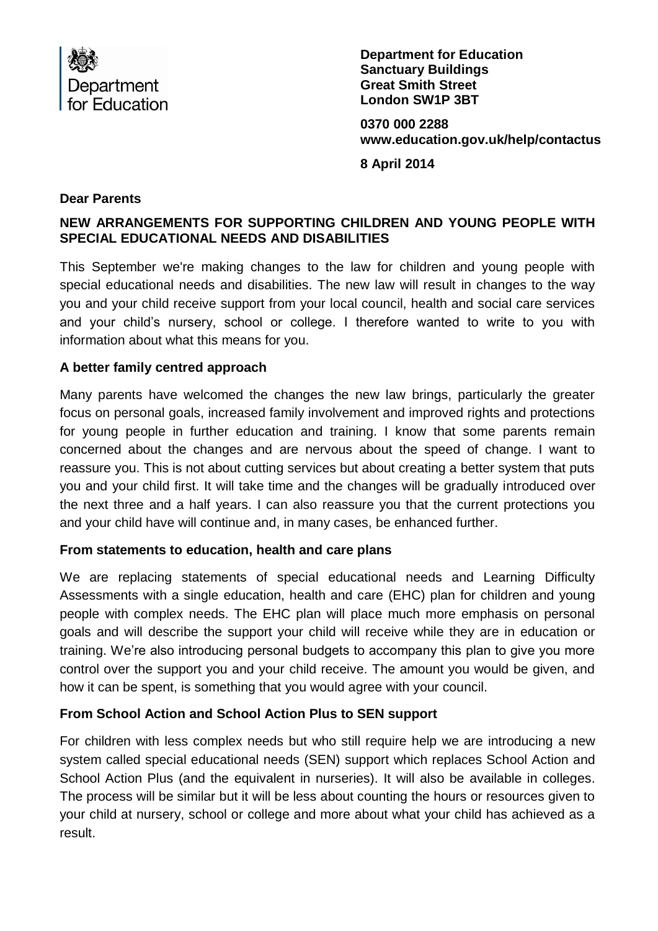

**Department for Education Sanctuary Buildings Great Smith Street London SW1P 3BT**

**0370 000 2288 [www.education.gov.uk/help/contactus](http://www.education.gov.uk/help/contactus)**

**8 April 2014**

#### **Dear Parents**

# **NEW ARRANGEMENTS FOR SUPPORTING CHILDREN AND YOUNG PEOPLE WITH SPECIAL EDUCATIONAL NEEDS AND DISABILITIES**

This September we're making changes to the law for children and young people with special educational needs and disabilities. The new law will result in changes to the way you and your child receive support from your local council, health and social care services and your child's nursery, school or college. I therefore wanted to write to you with information about what this means for you.

## **A better family centred approach**

Many parents have welcomed the changes the new law brings, particularly the greater focus on personal goals, increased family involvement and improved rights and protections for young people in further education and training. I know that some parents remain concerned about the changes and are nervous about the speed of change. I want to reassure you. This is not about cutting services but about creating a better system that puts you and your child first. It will take time and the changes will be gradually introduced over the next three and a half years. I can also reassure you that the current protections you and your child have will continue and, in many cases, be enhanced further.

#### **From statements to education, health and care plans**

We are replacing statements of special educational needs and Learning Difficulty Assessments with a single education, health and care (EHC) plan for children and young people with complex needs. The EHC plan will place much more emphasis on personal goals and will describe the support your child will receive while they are in education or training. We're also introducing personal budgets to accompany this plan to give you more control over the support you and your child receive. The amount you would be given, and how it can be spent, is something that you would agree with your council.

## **From School Action and School Action Plus to SEN support**

For children with less complex needs but who still require help we are introducing a new system called special educational needs (SEN) support which replaces School Action and School Action Plus (and the equivalent in nurseries). It will also be available in colleges. The process will be similar but it will be less about counting the hours or resources given to your child at nursery, school or college and more about what your child has achieved as a result.